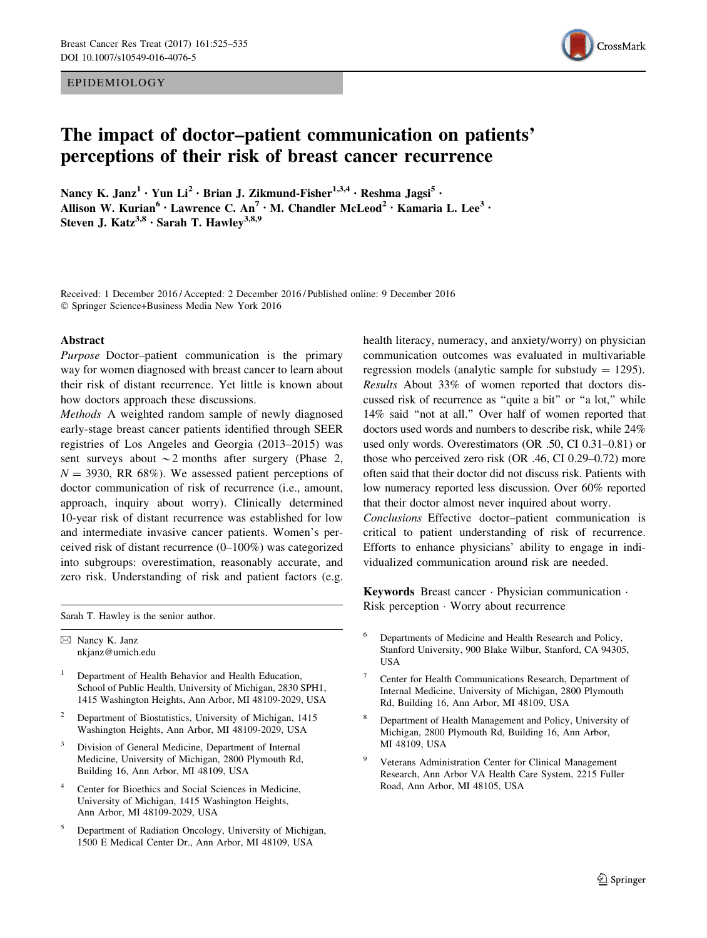EPIDEMIOLOGY



# The impact of doctor–patient communication on patients' perceptions of their risk of breast cancer recurrence

Nancy K. Janz<sup>1</sup> · Yun Li<sup>2</sup> · Brian J. Zikmund-Fisher<sup>1,3,4</sup> · Reshma Jagsi<sup>5</sup> · Allison W. Kurian<sup>6</sup> • Lawrence C. An<sup>7</sup> • M. Chandler McLeod<sup>2</sup> • Kamaria L. Lee<sup>3</sup> • Steven J. Katz<sup>3,8</sup> · Sarah T. Hawley<sup>3,8,9</sup>

Received: 1 December 2016 / Accepted: 2 December 2016 / Published online: 9 December 2016 - Springer Science+Business Media New York 2016

### Abstract

Purpose Doctor–patient communication is the primary way for women diagnosed with breast cancer to learn about their risk of distant recurrence. Yet little is known about how doctors approach these discussions.

Methods A weighted random sample of newly diagnosed early-stage breast cancer patients identified through SEER registries of Los Angeles and Georgia (2013–2015) was sent surveys about  $\sim$  2 months after surgery (Phase 2,  $N = 3930$ , RR 68%). We assessed patient perceptions of doctor communication of risk of recurrence (i.e., amount, approach, inquiry about worry). Clinically determined 10-year risk of distant recurrence was established for low and intermediate invasive cancer patients. Women's perceived risk of distant recurrence (0–100%) was categorized into subgroups: overestimation, reasonably accurate, and zero risk. Understanding of risk and patient factors (e.g.

Sarah T. Hawley is the senior author.

 $\boxtimes$  Nancy K. Janz nkjanz@umich.edu

- <sup>1</sup> Department of Health Behavior and Health Education, School of Public Health, University of Michigan, 2830 SPH1, 1415 Washington Heights, Ann Arbor, MI 48109-2029, USA
- <sup>2</sup> Department of Biostatistics, University of Michigan, 1415 Washington Heights, Ann Arbor, MI 48109-2029, USA
- Division of General Medicine, Department of Internal Medicine, University of Michigan, 2800 Plymouth Rd, Building 16, Ann Arbor, MI 48109, USA
- Center for Bioethics and Social Sciences in Medicine, University of Michigan, 1415 Washington Heights, Ann Arbor, MI 48109-2029, USA
- <sup>5</sup> Department of Radiation Oncology, University of Michigan, 1500 E Medical Center Dr., Ann Arbor, MI 48109, USA

health literacy, numeracy, and anxiety/worry) on physician communication outcomes was evaluated in multivariable regression models (analytic sample for substudy  $= 1295$ ). Results About 33% of women reported that doctors discussed risk of recurrence as ''quite a bit'' or ''a lot,'' while 14% said ''not at all.'' Over half of women reported that doctors used words and numbers to describe risk, while 24% used only words. Overestimators (OR .50, CI 0.31–0.81) or those who perceived zero risk (OR .46, CI 0.29–0.72) more often said that their doctor did not discuss risk. Patients with low numeracy reported less discussion. Over 60% reported that their doctor almost never inquired about worry.

Conclusions Effective doctor–patient communication is critical to patient understanding of risk of recurrence. Efforts to enhance physicians' ability to engage in individualized communication around risk are needed.

Keywords Breast cancer - Physician communication - Risk perception - Worry about recurrence

- <sup>6</sup> Departments of Medicine and Health Research and Policy, Stanford University, 900 Blake Wilbur, Stanford, CA 94305, USA
- <sup>7</sup> Center for Health Communications Research, Department of Internal Medicine, University of Michigan, 2800 Plymouth Rd, Building 16, Ann Arbor, MI 48109, USA
- <sup>8</sup> Department of Health Management and Policy, University of Michigan, 2800 Plymouth Rd, Building 16, Ann Arbor, MI 48109, USA
- Veterans Administration Center for Clinical Management Research, Ann Arbor VA Health Care System, 2215 Fuller Road, Ann Arbor, MI 48105, USA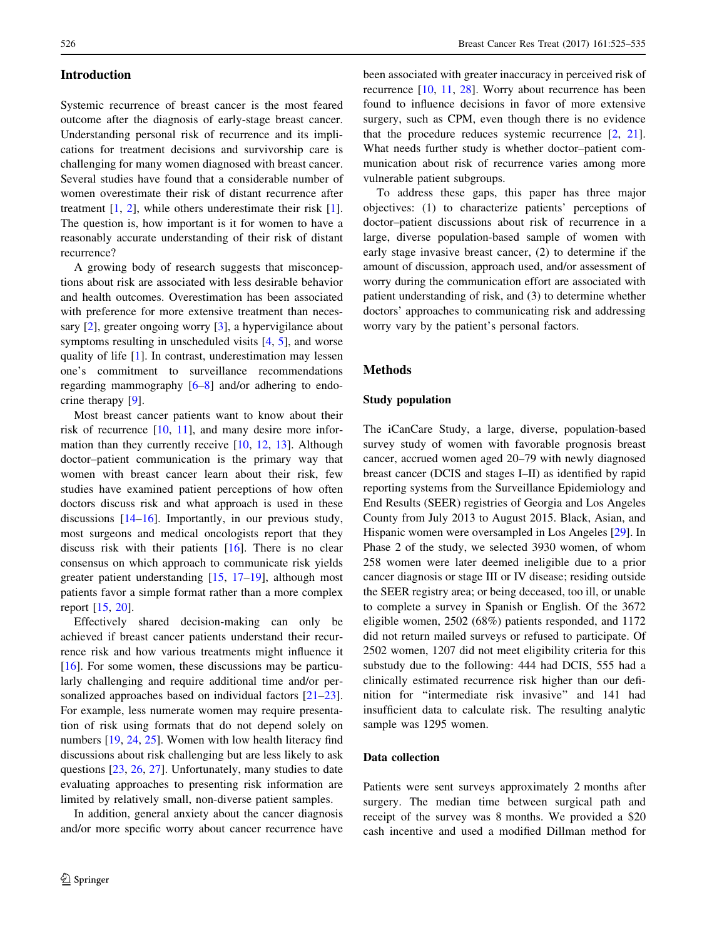# Introduction

Systemic recurrence of breast cancer is the most feared outcome after the diagnosis of early-stage breast cancer. Understanding personal risk of recurrence and its implications for treatment decisions and survivorship care is challenging for many women diagnosed with breast cancer. Several studies have found that a considerable number of women overestimate their risk of distant recurrence after treatment  $[1, 2]$  $[1, 2]$  $[1, 2]$  $[1, 2]$ , while others underestimate their risk  $[1]$  $[1]$ . The question is, how important is it for women to have a reasonably accurate understanding of their risk of distant recurrence?

A growing body of research suggests that misconceptions about risk are associated with less desirable behavior and health outcomes. Overestimation has been associated with preference for more extensive treatment than necessary [[2\]](#page-8-0), greater ongoing worry [[3\]](#page-8-0), a hypervigilance about symptoms resulting in unscheduled visits [[4,](#page-8-0) [5](#page-8-0)], and worse quality of life [[1\]](#page-8-0). In contrast, underestimation may lessen one's commitment to surveillance recommendations regarding mammography [\[6–8](#page-8-0)] and/or adhering to endocrine therapy [\[9](#page-8-0)].

Most breast cancer patients want to know about their risk of recurrence [\[10](#page-8-0), [11\]](#page-8-0), and many desire more information than they currently receive [[10,](#page-8-0) [12,](#page-9-0) [13\]](#page-9-0). Although doctor–patient communication is the primary way that women with breast cancer learn about their risk, few studies have examined patient perceptions of how often doctors discuss risk and what approach is used in these discussions [[14–16\]](#page-9-0). Importantly, in our previous study, most surgeons and medical oncologists report that they discuss risk with their patients [\[16](#page-9-0)]. There is no clear consensus on which approach to communicate risk yields greater patient understanding [[15,](#page-9-0) [17–19](#page-9-0)], although most patients favor a simple format rather than a more complex report [[15,](#page-9-0) [20](#page-9-0)].

Effectively shared decision-making can only be achieved if breast cancer patients understand their recurrence risk and how various treatments might influence it [\[16](#page-9-0)]. For some women, these discussions may be particularly challenging and require additional time and/or personalized approaches based on individual factors [\[21–23](#page-9-0)]. For example, less numerate women may require presentation of risk using formats that do not depend solely on numbers [[19,](#page-9-0) [24,](#page-9-0) [25](#page-9-0)]. Women with low health literacy find discussions about risk challenging but are less likely to ask questions [[23,](#page-9-0) [26](#page-9-0), [27\]](#page-9-0). Unfortunately, many studies to date evaluating approaches to presenting risk information are limited by relatively small, non-diverse patient samples.

In addition, general anxiety about the cancer diagnosis and/or more specific worry about cancer recurrence have been associated with greater inaccuracy in perceived risk of recurrence [\[10](#page-8-0), [11](#page-8-0), [28\]](#page-9-0). Worry about recurrence has been found to influence decisions in favor of more extensive surgery, such as CPM, even though there is no evidence that the procedure reduces systemic recurrence [[2,](#page-8-0) [21](#page-9-0)]. What needs further study is whether doctor–patient communication about risk of recurrence varies among more vulnerable patient subgroups.

To address these gaps, this paper has three major objectives: (1) to characterize patients' perceptions of doctor–patient discussions about risk of recurrence in a large, diverse population-based sample of women with early stage invasive breast cancer, (2) to determine if the amount of discussion, approach used, and/or assessment of worry during the communication effort are associated with patient understanding of risk, and (3) to determine whether doctors' approaches to communicating risk and addressing worry vary by the patient's personal factors.

# Methods

# Study population

The iCanCare Study, a large, diverse, population-based survey study of women with favorable prognosis breast cancer, accrued women aged 20–79 with newly diagnosed breast cancer (DCIS and stages I–II) as identified by rapid reporting systems from the Surveillance Epidemiology and End Results (SEER) registries of Georgia and Los Angeles County from July 2013 to August 2015. Black, Asian, and Hispanic women were oversampled in Los Angeles [[29\]](#page-9-0). In Phase 2 of the study, we selected 3930 women, of whom 258 women were later deemed ineligible due to a prior cancer diagnosis or stage III or IV disease; residing outside the SEER registry area; or being deceased, too ill, or unable to complete a survey in Spanish or English. Of the 3672 eligible women, 2502 (68%) patients responded, and 1172 did not return mailed surveys or refused to participate. Of 2502 women, 1207 did not meet eligibility criteria for this substudy due to the following: 444 had DCIS, 555 had a clinically estimated recurrence risk higher than our definition for ''intermediate risk invasive'' and 141 had insufficient data to calculate risk. The resulting analytic sample was 1295 women.

# Data collection

Patients were sent surveys approximately 2 months after surgery. The median time between surgical path and receipt of the survey was 8 months. We provided a \$20 cash incentive and used a modified Dillman method for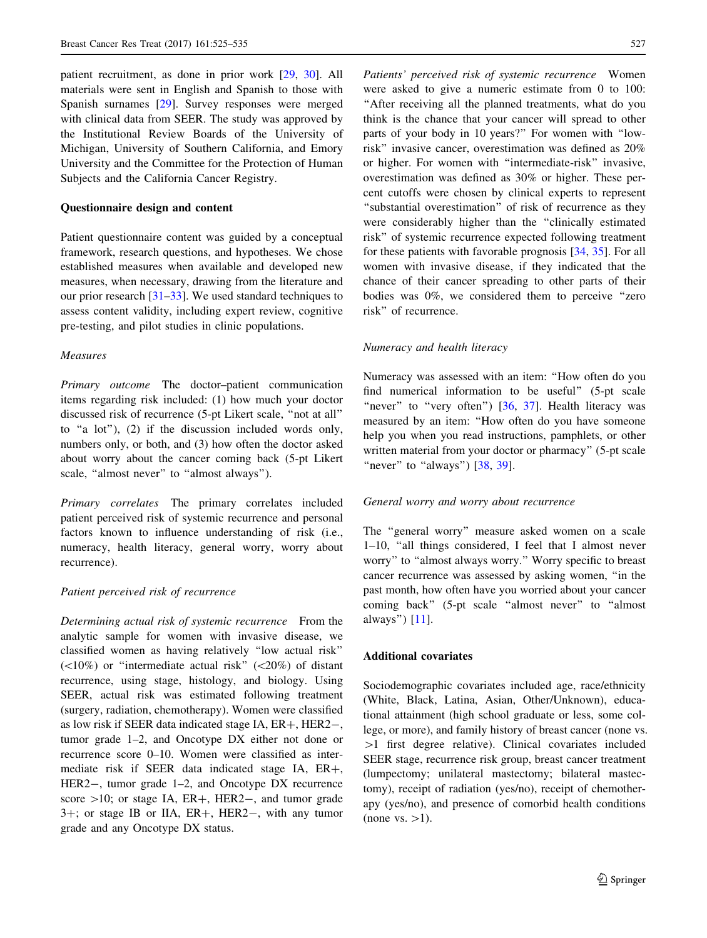patient recruitment, as done in prior work [[29,](#page-9-0) [30\]](#page-9-0). All materials were sent in English and Spanish to those with Spanish surnames [[29\]](#page-9-0). Survey responses were merged with clinical data from SEER. The study was approved by the Institutional Review Boards of the University of Michigan, University of Southern California, and Emory University and the Committee for the Protection of Human Subjects and the California Cancer Registry.

#### Questionnaire design and content

Patient questionnaire content was guided by a conceptual framework, research questions, and hypotheses. We chose established measures when available and developed new measures, when necessary, drawing from the literature and our prior research [\[31–33](#page-9-0)]. We used standard techniques to assess content validity, including expert review, cognitive pre-testing, and pilot studies in clinic populations.

#### Measures

Primary outcome The doctor–patient communication items regarding risk included: (1) how much your doctor discussed risk of recurrence (5-pt Likert scale, ''not at all'' to ''a lot''), (2) if the discussion included words only, numbers only, or both, and (3) how often the doctor asked about worry about the cancer coming back (5-pt Likert scale, "almost never" to "almost always").

Primary correlates The primary correlates included patient perceived risk of systemic recurrence and personal factors known to influence understanding of risk (i.e., numeracy, health literacy, general worry, worry about recurrence).

#### Patient perceived risk of recurrence

Determining actual risk of systemic recurrence From the analytic sample for women with invasive disease, we classified women as having relatively ''low actual risk''  $(\langle 10\% \rangle)$  or "intermediate actual risk"  $(\langle 20\% \rangle)$  of distant recurrence, using stage, histology, and biology. Using SEER, actual risk was estimated following treatment (surgery, radiation, chemotherapy). Women were classified as low risk if SEER data indicated stage IA,  $ER+$ ,  $HER2-$ , tumor grade 1–2, and Oncotype DX either not done or recurrence score 0–10. Women were classified as intermediate risk if SEER data indicated stage IA,  $ER+$ , HER2-, tumor grade 1–2, and Oncotype DX recurrence score  $>10$ ; or stage IA, ER+, HER2-, and tumor grade  $3+$ ; or stage IB or IIA,  $ER+$ ,  $HER2-$ , with any tumor grade and any Oncotype DX status.

Patients' perceived risk of systemic recurrence Women were asked to give a numeric estimate from 0 to 100: ''After receiving all the planned treatments, what do you think is the chance that your cancer will spread to other parts of your body in 10 years?'' For women with ''lowrisk'' invasive cancer, overestimation was defined as 20% or higher. For women with ''intermediate-risk'' invasive, overestimation was defined as 30% or higher. These percent cutoffs were chosen by clinical experts to represent "substantial overestimation" of risk of recurrence as they were considerably higher than the ''clinically estimated risk'' of systemic recurrence expected following treatment for these patients with favorable prognosis [[34,](#page-9-0) [35\]](#page-9-0). For all women with invasive disease, if they indicated that the chance of their cancer spreading to other parts of their bodies was 0%, we considered them to perceive ''zero risk'' of recurrence.

# Numeracy and health literacy

Numeracy was assessed with an item: ''How often do you find numerical information to be useful'' (5-pt scale "never" to "very often")  $[36, 37]$  $[36, 37]$  $[36, 37]$ . Health literacy was measured by an item: ''How often do you have someone help you when you read instructions, pamphlets, or other written material from your doctor or pharmacy'' (5-pt scale "never" to "always")  $[38, 39]$  $[38, 39]$  $[38, 39]$  $[38, 39]$  $[38, 39]$ .

#### General worry and worry about recurrence

The ''general worry'' measure asked women on a scale 1–10, ''all things considered, I feel that I almost never worry'' to ''almost always worry.'' Worry specific to breast cancer recurrence was assessed by asking women, ''in the past month, how often have you worried about your cancer coming back'' (5-pt scale ''almost never'' to ''almost always'') [\[11](#page-8-0)].

# Additional covariates

Sociodemographic covariates included age, race/ethnicity (White, Black, Latina, Asian, Other/Unknown), educational attainment (high school graduate or less, some college, or more), and family history of breast cancer (none vs.  $>1$  first degree relative). Clinical covariates included SEER stage, recurrence risk group, breast cancer treatment (lumpectomy; unilateral mastectomy; bilateral mastectomy), receipt of radiation (yes/no), receipt of chemotherapy (yes/no), and presence of comorbid health conditions (none vs.  $>1$ ).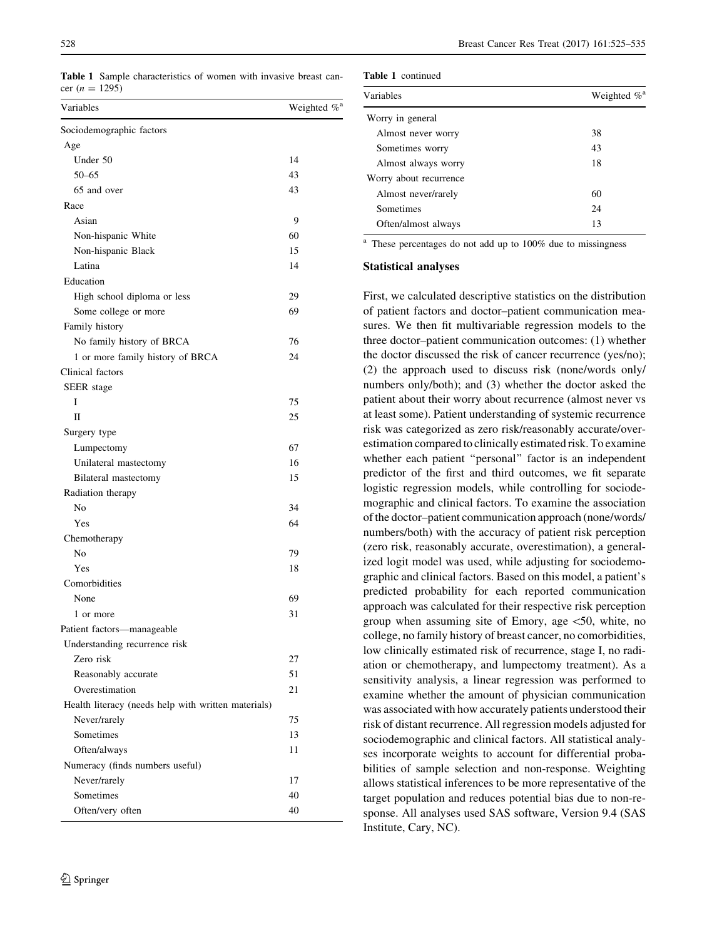<span id="page-3-0"></span>Table 1 Sample characteristics of women with invasive breast cancer (*n* = 1295)

| Variables                                           | Weighted % <sup>a</sup> |
|-----------------------------------------------------|-------------------------|
| Sociodemographic factors                            |                         |
| Age                                                 |                         |
| Under 50                                            | 14                      |
| $50 - 65$                                           | 43                      |
| 65 and over                                         | 43                      |
| Race                                                |                         |
| Asian                                               | 9                       |
| Non-hispanic White                                  | 60                      |
| Non-hispanic Black                                  | 15                      |
| Latina                                              | 14                      |
| Education                                           |                         |
| High school diploma or less                         | 29                      |
| Some college or more                                | 69                      |
| Family history                                      |                         |
| No family history of BRCA                           | 76                      |
| 1 or more family history of BRCA                    | 24                      |
| Clinical factors                                    |                         |
| SEER stage                                          |                         |
| I                                                   | 75                      |
| П                                                   | 25                      |
| Surgery type                                        |                         |
| Lumpectomy                                          | 67                      |
| Unilateral mastectomy                               | 16                      |
| Bilateral mastectomy                                | 15                      |
| Radiation therapy                                   |                         |
| No                                                  | 34                      |
| Yes                                                 | 64                      |
| Chemotherapy                                        |                         |
| No                                                  | 79                      |
| Yes                                                 | 18                      |
| Comorbidities                                       |                         |
| None                                                | 69                      |
| 1 or more                                           | 31                      |
| Patient factors-manageable                          |                         |
| Understanding recurrence risk                       |                         |
| Zero risk                                           | 27                      |
| Reasonably accurate                                 | 51                      |
| Overestimation                                      | 21                      |
| Health literacy (needs help with written materials) |                         |
| Never/rarely                                        | 75                      |
| <b>Sometimes</b>                                    | 13                      |
| Often/always                                        | 11                      |
| Numeracy (finds numbers useful)                     |                         |
| Never/rarely                                        | 17                      |
| Sometimes                                           | 40                      |
| Often/very often                                    | 40                      |
|                                                     |                         |

|  | <b>Table 1</b> continued |
|--|--------------------------|
|--|--------------------------|

| Variables              | Weighted $\%$ <sup>a</sup> |
|------------------------|----------------------------|
| Worry in general       |                            |
| Almost never worry     | 38                         |
| Sometimes worry        | 43                         |
| Almost always worry    | 18                         |
| Worry about recurrence |                            |
| Almost never/rarely    | 60                         |
| Sometimes              | 24                         |
| Often/almost always    | 13                         |

<sup>a</sup> These percentages do not add up to 100% due to missingness

# Statistical analyses

First, we calculated descriptive statistics on the distribution of patient factors and doctor–patient communication measures. We then fit multivariable regression models to the three doctor–patient communication outcomes: (1) whether the doctor discussed the risk of cancer recurrence (yes/no); (2) the approach used to discuss risk (none/words only/ numbers only/both); and (3) whether the doctor asked the patient about their worry about recurrence (almost never vs at least some). Patient understanding of systemic recurrence risk was categorized as zero risk/reasonably accurate/overestimation compared to clinically estimated risk. To examine whether each patient "personal" factor is an independent predictor of the first and third outcomes, we fit separate logistic regression models, while controlling for sociodemographic and clinical factors. To examine the association of the doctor–patient communication approach (none/words/ numbers/both) with the accuracy of patient risk perception (zero risk, reasonably accurate, overestimation), a generalized logit model was used, while adjusting for sociodemographic and clinical factors. Based on this model, a patient's predicted probability for each reported communication approach was calculated for their respective risk perception group when assuming site of Emory, age  $\lt$ 50, white, no college, no family history of breast cancer, no comorbidities, low clinically estimated risk of recurrence, stage I, no radiation or chemotherapy, and lumpectomy treatment). As a sensitivity analysis, a linear regression was performed to examine whether the amount of physician communication was associated with how accurately patients understood their risk of distant recurrence. All regression models adjusted for sociodemographic and clinical factors. All statistical analyses incorporate weights to account for differential probabilities of sample selection and non-response. Weighting allows statistical inferences to be more representative of the target population and reduces potential bias due to non-response. All analyses used SAS software, Version 9.4 (SAS Institute, Cary, NC).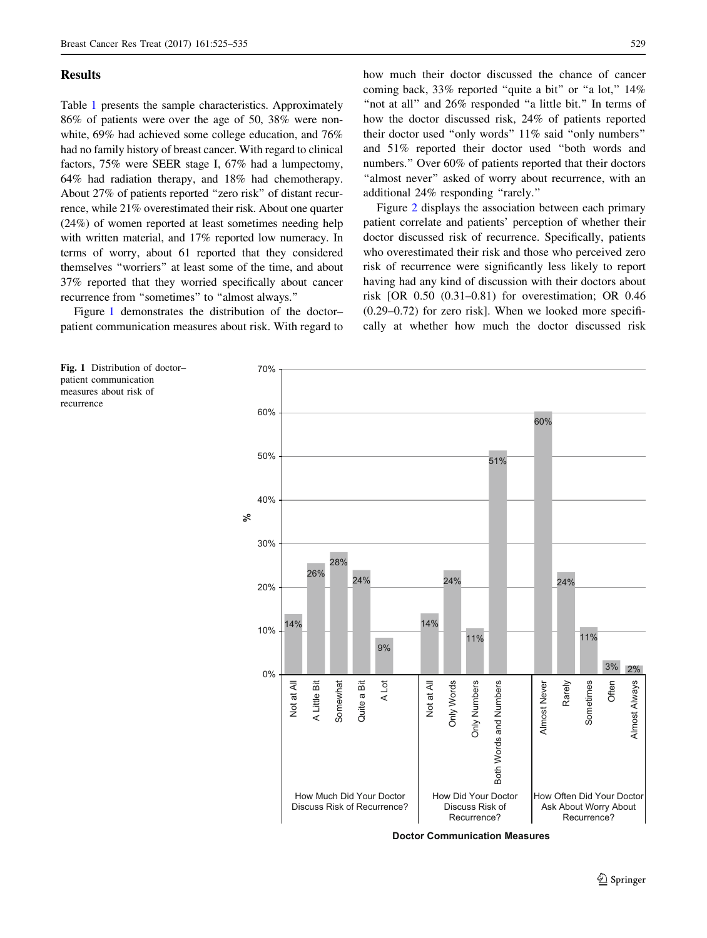# **Results**

recurrence

Table [1](#page-3-0) presents the sample characteristics. Approximately 86% of patients were over the age of 50, 38% were nonwhite, 69% had achieved some college education, and 76% had no family history of breast cancer. With regard to clinical factors, 75% were SEER stage I, 67% had a lumpectomy, 64% had radiation therapy, and 18% had chemotherapy. About 27% of patients reported ''zero risk'' of distant recurrence, while 21% overestimated their risk. About one quarter (24%) of women reported at least sometimes needing help with written material, and 17% reported low numeracy. In terms of worry, about 61 reported that they considered themselves ''worriers'' at least some of the time, and about 37% reported that they worried specifically about cancer recurrence from ''sometimes'' to ''almost always.''

Figure 1 demonstrates the distribution of the doctor– patient communication measures about risk. With regard to how much their doctor discussed the chance of cancer coming back, 33% reported "quite a bit" or "a lot," 14% "not at all" and 26% responded "a little bit." In terms of how the doctor discussed risk, 24% of patients reported their doctor used ''only words'' 11% said ''only numbers'' and 51% reported their doctor used ''both words and numbers.'' Over 60% of patients reported that their doctors "almost never" asked of worry about recurrence, with an additional 24% responding ''rarely.''

Figure [2](#page-5-0) displays the association between each primary patient correlate and patients' perception of whether their doctor discussed risk of recurrence. Specifically, patients who overestimated their risk and those who perceived zero risk of recurrence were significantly less likely to report having had any kind of discussion with their doctors about risk [OR 0.50 (0.31–0.81) for overestimation; OR 0.46 (0.29–0.72) for zero risk]. When we looked more specifically at whether how much the doctor discussed risk

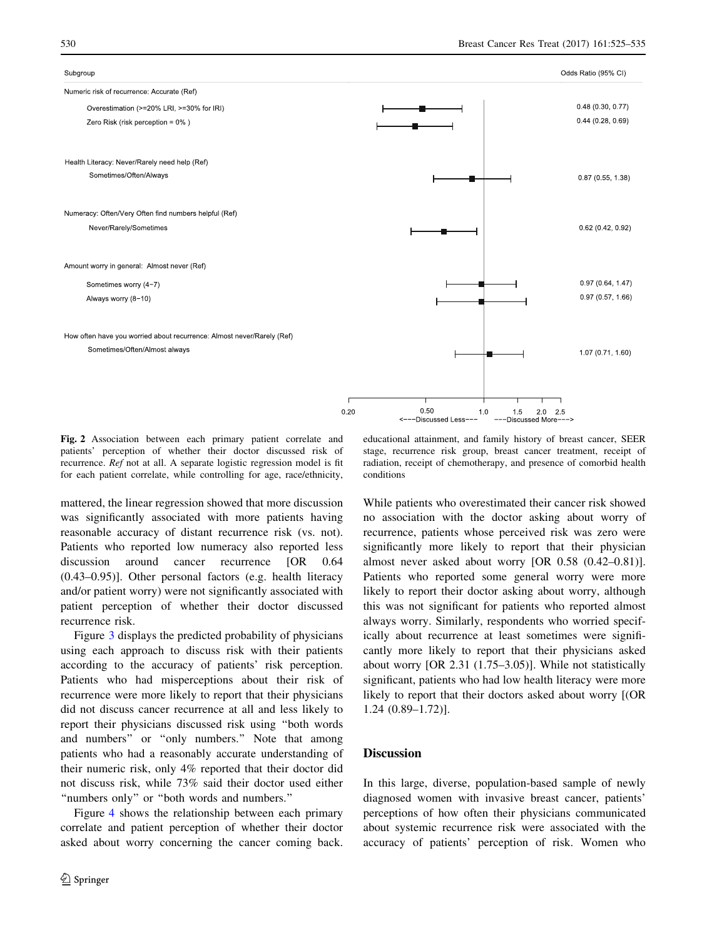<span id="page-5-0"></span>

Fig. 2 Association between each primary patient correlate and patients' perception of whether their doctor discussed risk of recurrence. Ref not at all. A separate logistic regression model is fit for each patient correlate, while controlling for age, race/ethnicity,

educational attainment, and family history of breast cancer, SEER stage, recurrence risk group, breast cancer treatment, receipt of radiation, receipt of chemotherapy, and presence of comorbid health conditions

mattered, the linear regression showed that more discussion was significantly associated with more patients having reasonable accuracy of distant recurrence risk (vs. not). Patients who reported low numeracy also reported less discussion around cancer recurrence [OR 0.64 (0.43–0.95)]. Other personal factors (e.g. health literacy and/or patient worry) were not significantly associated with patient perception of whether their doctor discussed recurrence risk.

Figure [3](#page-6-0) displays the predicted probability of physicians using each approach to discuss risk with their patients according to the accuracy of patients' risk perception. Patients who had misperceptions about their risk of recurrence were more likely to report that their physicians did not discuss cancer recurrence at all and less likely to report their physicians discussed risk using ''both words and numbers'' or ''only numbers.'' Note that among patients who had a reasonably accurate understanding of their numeric risk, only 4% reported that their doctor did not discuss risk, while 73% said their doctor used either "numbers only" or "both words and numbers."

Figure [4](#page-7-0) shows the relationship between each primary correlate and patient perception of whether their doctor asked about worry concerning the cancer coming back.

While patients who overestimated their cancer risk showed no association with the doctor asking about worry of recurrence, patients whose perceived risk was zero were significantly more likely to report that their physician almost never asked about worry [OR 0.58 (0.42–0.81)]. Patients who reported some general worry were more likely to report their doctor asking about worry, although this was not significant for patients who reported almost always worry. Similarly, respondents who worried specifically about recurrence at least sometimes were significantly more likely to report that their physicians asked about worry [OR 2.31 (1.75–3.05)]. While not statistically significant, patients who had low health literacy were more likely to report that their doctors asked about worry [(OR 1.24 (0.89–1.72)].

# **Discussion**

In this large, diverse, population-based sample of newly diagnosed women with invasive breast cancer, patients' perceptions of how often their physicians communicated about systemic recurrence risk were associated with the accuracy of patients' perception of risk. Women who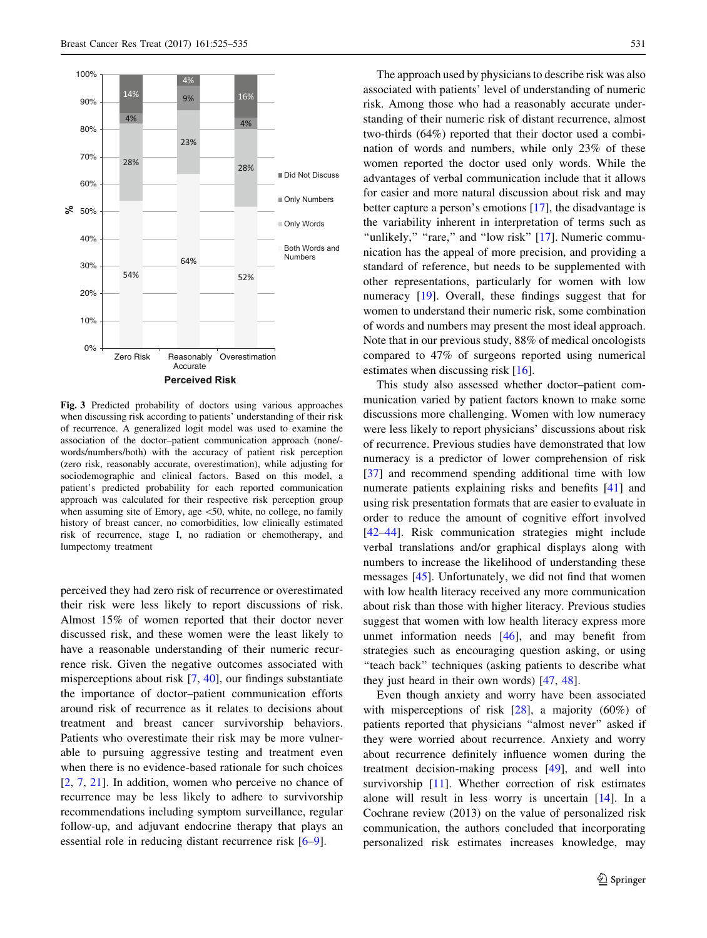<span id="page-6-0"></span>

Fig. 3 Predicted probability of doctors using various approaches when discussing risk according to patients' understanding of their risk of recurrence. A generalized logit model was used to examine the association of the doctor–patient communication approach (none/ words/numbers/both) with the accuracy of patient risk perception (zero risk, reasonably accurate, overestimation), while adjusting for sociodemographic and clinical factors. Based on this model, a patient's predicted probability for each reported communication approach was calculated for their respective risk perception group when assuming site of Emory, age  $\leq 50$ , white, no college, no family history of breast cancer, no comorbidities, low clinically estimated risk of recurrence, stage I, no radiation or chemotherapy, and lumpectomy treatment

perceived they had zero risk of recurrence or overestimated their risk were less likely to report discussions of risk. Almost 15% of women reported that their doctor never discussed risk, and these women were the least likely to have a reasonable understanding of their numeric recurrence risk. Given the negative outcomes associated with misperceptions about risk [\[7](#page-8-0), [40\]](#page-10-0), our findings substantiate the importance of doctor–patient communication efforts around risk of recurrence as it relates to decisions about treatment and breast cancer survivorship behaviors. Patients who overestimate their risk may be more vulnerable to pursuing aggressive testing and treatment even when there is no evidence-based rationale for such choices [\[2](#page-8-0), [7](#page-8-0), [21](#page-9-0)]. In addition, women who perceive no chance of recurrence may be less likely to adhere to survivorship recommendations including symptom surveillance, regular follow-up, and adjuvant endocrine therapy that plays an essential role in reducing distant recurrence risk [[6–9\]](#page-8-0).

The approach used by physicians to describe risk was also associated with patients' level of understanding of numeric risk. Among those who had a reasonably accurate understanding of their numeric risk of distant recurrence, almost two-thirds (64%) reported that their doctor used a combination of words and numbers, while only 23% of these women reported the doctor used only words. While the advantages of verbal communication include that it allows for easier and more natural discussion about risk and may better capture a person's emotions [[17\]](#page-9-0), the disadvantage is the variability inherent in interpretation of terms such as "unlikely," "rare," and "low risk" [\[17](#page-9-0)]. Numeric communication has the appeal of more precision, and providing a standard of reference, but needs to be supplemented with other representations, particularly for women with low numeracy [\[19](#page-9-0)]. Overall, these findings suggest that for women to understand their numeric risk, some combination of words and numbers may present the most ideal approach. Note that in our previous study, 88% of medical oncologists compared to 47% of surgeons reported using numerical estimates when discussing risk [[16\]](#page-9-0).

This study also assessed whether doctor–patient communication varied by patient factors known to make some discussions more challenging. Women with low numeracy were less likely to report physicians' discussions about risk of recurrence. Previous studies have demonstrated that low numeracy is a predictor of lower comprehension of risk [\[37](#page-9-0)] and recommend spending additional time with low numerate patients explaining risks and benefits [[41\]](#page-10-0) and using risk presentation formats that are easier to evaluate in order to reduce the amount of cognitive effort involved [\[42–44](#page-10-0)]. Risk communication strategies might include verbal translations and/or graphical displays along with numbers to increase the likelihood of understanding these messages [\[45](#page-10-0)]. Unfortunately, we did not find that women with low health literacy received any more communication about risk than those with higher literacy. Previous studies suggest that women with low health literacy express more unmet information needs [\[46](#page-10-0)], and may benefit from strategies such as encouraging question asking, or using "teach back" techniques (asking patients to describe what they just heard in their own words) [[47,](#page-10-0) [48](#page-10-0)].

Even though anxiety and worry have been associated with misperceptions of risk [[28\]](#page-9-0), a majority (60%) of patients reported that physicians ''almost never'' asked if they were worried about recurrence. Anxiety and worry about recurrence definitely influence women during the treatment decision-making process [[49\]](#page-10-0), and well into survivorship [[11\]](#page-8-0). Whether correction of risk estimates alone will result in less worry is uncertain [\[14](#page-9-0)]. In a Cochrane review (2013) on the value of personalized risk communication, the authors concluded that incorporating personalized risk estimates increases knowledge, may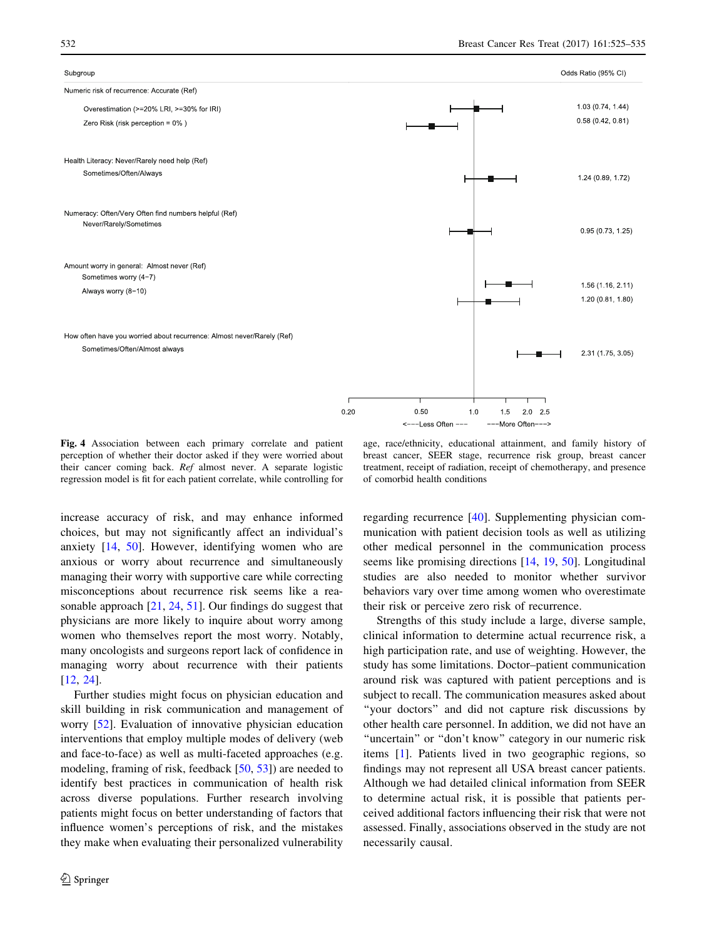#### <span id="page-7-0"></span>Subgroup

# Numeric risk of recurrence: Accurate (Ref) Overestimation (>=20% LRI, >=30% for IRI) Zero Risk (risk perception =  $0\%$ ) Health Literacy: Never/Rarely need help (Ref) Sometimes/Often/Always Numeracy: Often/Very Often find numbers helpful (Ref) Never/Rarely/Sometimes

Amount worry in general: Almost never (Ref) Sometimes worry (4-7) Always worry (8-10)

How often have you worried about recurrence: Almost never/Rarely (Ref) Sometimes/Often/Almost always



Fig. 4 Association between each primary correlate and patient perception of whether their doctor asked if they were worried about their cancer coming back. Ref almost never. A separate logistic regression model is fit for each patient correlate, while controlling for

age, race/ethnicity, educational attainment, and family history of breast cancer, SEER stage, recurrence risk group, breast cancer treatment, receipt of radiation, receipt of chemotherapy, and presence of comorbid health conditions

increase accuracy of risk, and may enhance informed choices, but may not significantly affect an individual's anxiety [[14,](#page-9-0) [50](#page-10-0)]. However, identifying women who are anxious or worry about recurrence and simultaneously managing their worry with supportive care while correcting misconceptions about recurrence risk seems like a reasonable approach [[21,](#page-9-0) [24](#page-9-0), [51](#page-10-0)]. Our findings do suggest that physicians are more likely to inquire about worry among women who themselves report the most worry. Notably, many oncologists and surgeons report lack of confidence in managing worry about recurrence with their patients [\[12](#page-9-0), [24](#page-9-0)].

Further studies might focus on physician education and skill building in risk communication and management of worry [\[52](#page-10-0)]. Evaluation of innovative physician education interventions that employ multiple modes of delivery (web and face-to-face) as well as multi-faceted approaches (e.g. modeling, framing of risk, feedback [\[50](#page-10-0), [53](#page-10-0)]) are needed to identify best practices in communication of health risk across diverse populations. Further research involving patients might focus on better understanding of factors that influence women's perceptions of risk, and the mistakes they make when evaluating their personalized vulnerability regarding recurrence [[40\]](#page-10-0). Supplementing physician communication with patient decision tools as well as utilizing other medical personnel in the communication process seems like promising directions [[14,](#page-9-0) [19,](#page-9-0) [50](#page-10-0)]. Longitudinal studies are also needed to monitor whether survivor behaviors vary over time among women who overestimate their risk or perceive zero risk of recurrence.

Strengths of this study include a large, diverse sample, clinical information to determine actual recurrence risk, a high participation rate, and use of weighting. However, the study has some limitations. Doctor–patient communication around risk was captured with patient perceptions and is subject to recall. The communication measures asked about ''your doctors'' and did not capture risk discussions by other health care personnel. In addition, we did not have an "uncertain" or "don't know" category in our numeric risk items [[1\]](#page-8-0). Patients lived in two geographic regions, so findings may not represent all USA breast cancer patients. Although we had detailed clinical information from SEER to determine actual risk, it is possible that patients perceived additional factors influencing their risk that were not assessed. Finally, associations observed in the study are not necessarily causal.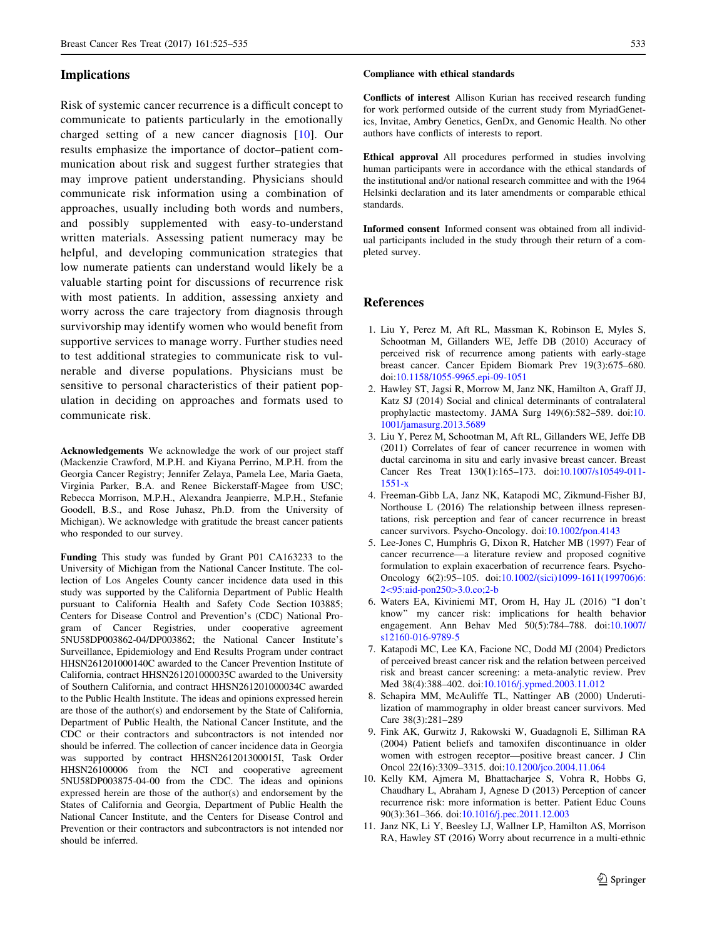# <span id="page-8-0"></span>Implications

Risk of systemic cancer recurrence is a difficult concept to communicate to patients particularly in the emotionally charged setting of a new cancer diagnosis [10]. Our results emphasize the importance of doctor–patient communication about risk and suggest further strategies that may improve patient understanding. Physicians should communicate risk information using a combination of approaches, usually including both words and numbers, and possibly supplemented with easy-to-understand written materials. Assessing patient numeracy may be helpful, and developing communication strategies that low numerate patients can understand would likely be a valuable starting point for discussions of recurrence risk with most patients. In addition, assessing anxiety and worry across the care trajectory from diagnosis through survivorship may identify women who would benefit from supportive services to manage worry. Further studies need to test additional strategies to communicate risk to vulnerable and diverse populations. Physicians must be sensitive to personal characteristics of their patient population in deciding on approaches and formats used to communicate risk.

Acknowledgements We acknowledge the work of our project staff (Mackenzie Crawford, M.P.H. and Kiyana Perrino, M.P.H. from the Georgia Cancer Registry; Jennifer Zelaya, Pamela Lee, Maria Gaeta, Virginia Parker, B.A. and Renee Bickerstaff-Magee from USC; Rebecca Morrison, M.P.H., Alexandra Jeanpierre, M.P.H., Stefanie Goodell, B.S., and Rose Juhasz, Ph.D. from the University of Michigan). We acknowledge with gratitude the breast cancer patients who responded to our survey.

Funding This study was funded by Grant P01 CA163233 to the University of Michigan from the National Cancer Institute. The collection of Los Angeles County cancer incidence data used in this study was supported by the California Department of Public Health pursuant to California Health and Safety Code Section 103885; Centers for Disease Control and Prevention's (CDC) National Program of Cancer Registries, under cooperative agreement 5NU58DP003862-04/DP003862; the National Cancer Institute's Surveillance, Epidemiology and End Results Program under contract HHSN261201000140C awarded to the Cancer Prevention Institute of California, contract HHSN261201000035C awarded to the University of Southern California, and contract HHSN261201000034C awarded to the Public Health Institute. The ideas and opinions expressed herein are those of the author(s) and endorsement by the State of California, Department of Public Health, the National Cancer Institute, and the CDC or their contractors and subcontractors is not intended nor should be inferred. The collection of cancer incidence data in Georgia was supported by contract HHSN261201300015I, Task Order HHSN26100006 from the NCI and cooperative agreement 5NU58DP003875-04-00 from the CDC. The ideas and opinions expressed herein are those of the author(s) and endorsement by the States of California and Georgia, Department of Public Health the National Cancer Institute, and the Centers for Disease Control and Prevention or their contractors and subcontractors is not intended nor should be inferred.

#### Compliance with ethical standards

Conflicts of interest Allison Kurian has received research funding for work performed outside of the current study from MyriadGenetics, Invitae, Ambry Genetics, GenDx, and Genomic Health. No other authors have conflicts of interests to report.

Ethical approval All procedures performed in studies involving human participants were in accordance with the ethical standards of the institutional and/or national research committee and with the 1964 Helsinki declaration and its later amendments or comparable ethical standards.

Informed consent Informed consent was obtained from all individual participants included in the study through their return of a completed survey.

# References

- 1. Liu Y, Perez M, Aft RL, Massman K, Robinson E, Myles S, Schootman M, Gillanders WE, Jeffe DB (2010) Accuracy of perceived risk of recurrence among patients with early-stage breast cancer. Cancer Epidem Biomark Prev 19(3):675–680. doi:[10.1158/1055-9965.epi-09-1051](http://dx.doi.org/10.1158/1055-9965.epi-09-1051)
- 2. Hawley ST, Jagsi R, Morrow M, Janz NK, Hamilton A, Graff JJ, Katz SJ (2014) Social and clinical determinants of contralateral prophylactic mastectomy. JAMA Surg 149(6):582–589. doi:[10.](http://dx.doi.org/10.1001/jamasurg.2013.5689) [1001/jamasurg.2013.5689](http://dx.doi.org/10.1001/jamasurg.2013.5689)
- 3. Liu Y, Perez M, Schootman M, Aft RL, Gillanders WE, Jeffe DB (2011) Correlates of fear of cancer recurrence in women with ductal carcinoma in situ and early invasive breast cancer. Breast Cancer Res Treat 130(1):165–173. doi:[10.1007/s10549-011-](http://dx.doi.org/10.1007/s10549-011-1551-x) [1551-x](http://dx.doi.org/10.1007/s10549-011-1551-x)
- 4. Freeman-Gibb LA, Janz NK, Katapodi MC, Zikmund-Fisher BJ, Northouse L (2016) The relationship between illness representations, risk perception and fear of cancer recurrence in breast cancer survivors. Psycho-Oncology. doi[:10.1002/pon.4143](http://dx.doi.org/10.1002/pon.4143)
- 5. Lee-Jones C, Humphris G, Dixon R, Hatcher MB (1997) Fear of cancer recurrence—a literature review and proposed cognitive formulation to explain exacerbation of recurrence fears. Psycho-Oncology 6(2):95–105. doi[:10.1002/\(sici\)1099-1611\(199706\)6:](http://dx.doi.org/10.1002/(sici)1099-1611(199706)6:2%3c95:aid-pon250%3e3.0.co;2-b) 2<[95:aid-pon250](http://dx.doi.org/10.1002/(sici)1099-1611(199706)6:2%3c95:aid-pon250%3e3.0.co;2-b)>3.0.co;2-b
- 6. Waters EA, Kiviniemi MT, Orom H, Hay JL (2016) ''I don't know'' my cancer risk: implications for health behavior engagement. Ann Behav Med 50(5):784–788. doi[:10.1007/](http://dx.doi.org/10.1007/s12160-016-9789-5) [s12160-016-9789-5](http://dx.doi.org/10.1007/s12160-016-9789-5)
- 7. Katapodi MC, Lee KA, Facione NC, Dodd MJ (2004) Predictors of perceived breast cancer risk and the relation between perceived risk and breast cancer screening: a meta-analytic review. Prev Med 38(4):388–402. doi:[10.1016/j.ypmed.2003.11.012](http://dx.doi.org/10.1016/j.ypmed.2003.11.012)
- 8. Schapira MM, McAuliffe TL, Nattinger AB (2000) Underutilization of mammography in older breast cancer survivors. Med Care 38(3):281–289
- 9. Fink AK, Gurwitz J, Rakowski W, Guadagnoli E, Silliman RA (2004) Patient beliefs and tamoxifen discontinuance in older women with estrogen receptor—positive breast cancer. J Clin Oncol 22(16):3309–3315. doi:[10.1200/jco.2004.11.064](http://dx.doi.org/10.1200/jco.2004.11.064)
- 10. Kelly KM, Ajmera M, Bhattacharjee S, Vohra R, Hobbs G, Chaudhary L, Abraham J, Agnese D (2013) Perception of cancer recurrence risk: more information is better. Patient Educ Couns 90(3):361–366. doi[:10.1016/j.pec.2011.12.003](http://dx.doi.org/10.1016/j.pec.2011.12.003)
- 11. Janz NK, Li Y, Beesley LJ, Wallner LP, Hamilton AS, Morrison RA, Hawley ST (2016) Worry about recurrence in a multi-ethnic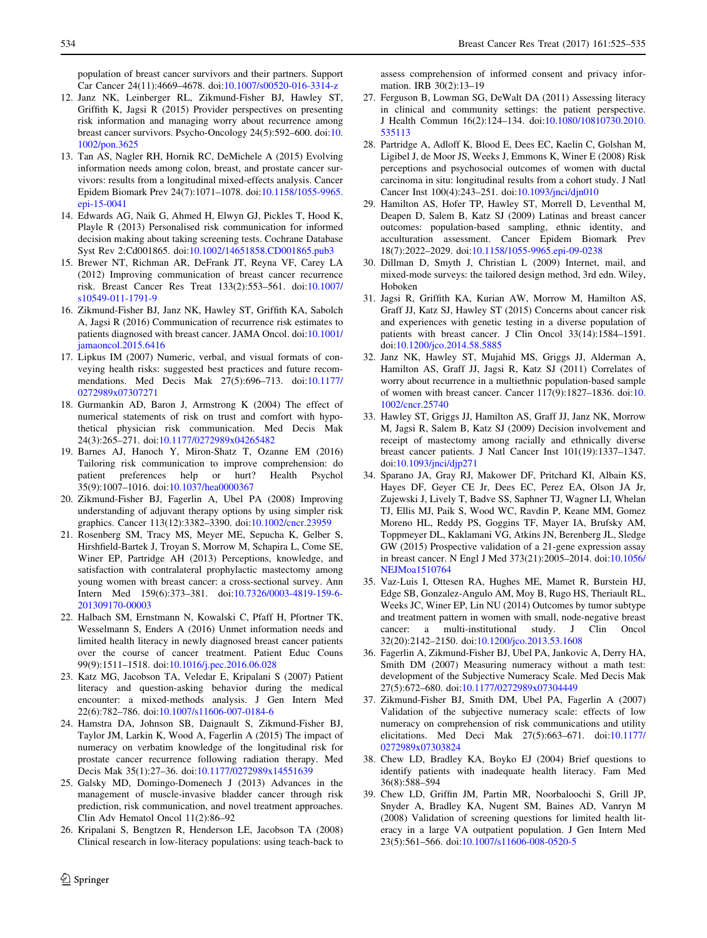<span id="page-9-0"></span>population of breast cancer survivors and their partners. Support Car Cancer 24(11):4669–4678. doi:[10.1007/s00520-016-3314-z](http://dx.doi.org/10.1007/s00520-016-3314-z)

- 12. Janz NK, Leinberger RL, Zikmund-Fisher BJ, Hawley ST, Griffith K, Jagsi R (2015) Provider perspectives on presenting risk information and managing worry about recurrence among breast cancer survivors. Psycho-Oncology 24(5):592–600. doi:[10.](http://dx.doi.org/10.1002/pon.3625) [1002/pon.3625](http://dx.doi.org/10.1002/pon.3625)
- 13. Tan AS, Nagler RH, Hornik RC, DeMichele A (2015) Evolving information needs among colon, breast, and prostate cancer survivors: results from a longitudinal mixed-effects analysis. Cancer Epidem Biomark Prev 24(7):1071–1078. doi[:10.1158/1055-9965.](http://dx.doi.org/10.1158/1055-9965.epi-15-0041) [epi-15-0041](http://dx.doi.org/10.1158/1055-9965.epi-15-0041)
- 14. Edwards AG, Naik G, Ahmed H, Elwyn GJ, Pickles T, Hood K, Playle R (2013) Personalised risk communication for informed decision making about taking screening tests. Cochrane Database Syst Rev 2:Cd001865. doi:[10.1002/14651858.CD001865.pub3](http://dx.doi.org/10.1002/14651858.CD001865.pub3)
- 15. Brewer NT, Richman AR, DeFrank JT, Reyna VF, Carey LA (2012) Improving communication of breast cancer recurrence risk. Breast Cancer Res Treat 133(2):553–561. doi[:10.1007/](http://dx.doi.org/10.1007/s10549-011-1791-9) [s10549-011-1791-9](http://dx.doi.org/10.1007/s10549-011-1791-9)
- 16. Zikmund-Fisher BJ, Janz NK, Hawley ST, Griffith KA, Sabolch A, Jagsi R (2016) Communication of recurrence risk estimates to patients diagnosed with breast cancer. JAMA Oncol. doi[:10.1001/](http://dx.doi.org/10.1001/jamaoncol.2015.6416) [jamaoncol.2015.6416](http://dx.doi.org/10.1001/jamaoncol.2015.6416)
- 17. Lipkus IM (2007) Numeric, verbal, and visual formats of conveying health risks: suggested best practices and future recommendations. Med Decis Mak 27(5):696–713. doi[:10.1177/](http://dx.doi.org/10.1177/0272989x07307271) [0272989x07307271](http://dx.doi.org/10.1177/0272989x07307271)
- 18. Gurmankin AD, Baron J, Armstrong K (2004) The effect of numerical statements of risk on trust and comfort with hypothetical physician risk communication. Med Decis Mak 24(3):265–271. doi[:10.1177/0272989x04265482](http://dx.doi.org/10.1177/0272989x04265482)
- 19. Barnes AJ, Hanoch Y, Miron-Shatz T, Ozanne EM (2016) Tailoring risk communication to improve comprehension: do<br>patient preferences help or hurt? Health Psychol preferences help or hurt? Health Psychol 35(9):1007–1016. doi:[10.1037/hea0000367](http://dx.doi.org/10.1037/hea0000367)
- 20. Zikmund-Fisher BJ, Fagerlin A, Ubel PA (2008) Improving understanding of adjuvant therapy options by using simpler risk graphics. Cancer 113(12):3382–3390. doi:[10.1002/cncr.23959](http://dx.doi.org/10.1002/cncr.23959)
- 21. Rosenberg SM, Tracy MS, Meyer ME, Sepucha K, Gelber S, Hirshfield-Bartek J, Troyan S, Morrow M, Schapira L, Come SE, Winer EP, Partridge AH (2013) Perceptions, knowledge, and satisfaction with contralateral prophylactic mastectomy among young women with breast cancer: a cross-sectional survey. Ann Intern Med 159(6):373–381. doi[:10.7326/0003-4819-159-6-](http://dx.doi.org/10.7326/0003-4819-159-6-201309170-00003) [201309170-00003](http://dx.doi.org/10.7326/0003-4819-159-6-201309170-00003)
- 22. Halbach SM, Ernstmann N, Kowalski C, Pfaff H, Pfortner TK, Wesselmann S, Enders A (2016) Unmet information needs and limited health literacy in newly diagnosed breast cancer patients over the course of cancer treatment. Patient Educ Couns 99(9):1511–1518. doi:[10.1016/j.pec.2016.06.028](http://dx.doi.org/10.1016/j.pec.2016.06.028)
- 23. Katz MG, Jacobson TA, Veledar E, Kripalani S (2007) Patient literacy and question-asking behavior during the medical encounter: a mixed-methods analysis. J Gen Intern Med 22(6):782–786. doi[:10.1007/s11606-007-0184-6](http://dx.doi.org/10.1007/s11606-007-0184-6)
- 24. Hamstra DA, Johnson SB, Daignault S, Zikmund-Fisher BJ, Taylor JM, Larkin K, Wood A, Fagerlin A (2015) The impact of numeracy on verbatim knowledge of the longitudinal risk for prostate cancer recurrence following radiation therapy. Med Decis Mak 35(1):27–36. doi[:10.1177/0272989x14551639](http://dx.doi.org/10.1177/0272989x14551639)
- 25. Galsky MD, Domingo-Domenech J (2013) Advances in the management of muscle-invasive bladder cancer through risk prediction, risk communication, and novel treatment approaches. Clin Adv Hematol Oncol 11(2):86–92
- 26. Kripalani S, Bengtzen R, Henderson LE, Jacobson TA (2008) Clinical research in low-literacy populations: using teach-back to

assess comprehension of informed consent and privacy information. IRB 30(2):13–19

- 27. Ferguson B, Lowman SG, DeWalt DA (2011) Assessing literacy in clinical and community settings: the patient perspective. J Health Commun 16(2):124–134. doi[:10.1080/10810730.2010.](http://dx.doi.org/10.1080/10810730.2010.535113) [535113](http://dx.doi.org/10.1080/10810730.2010.535113)
- 28. Partridge A, Adloff K, Blood E, Dees EC, Kaelin C, Golshan M, Ligibel J, de Moor JS, Weeks J, Emmons K, Winer E (2008) Risk perceptions and psychosocial outcomes of women with ductal carcinoma in situ: longitudinal results from a cohort study. J Natl Cancer Inst 100(4):243–251. doi:[10.1093/jnci/djn010](http://dx.doi.org/10.1093/jnci/djn010)
- 29. Hamilton AS, Hofer TP, Hawley ST, Morrell D, Leventhal M, Deapen D, Salem B, Katz SJ (2009) Latinas and breast cancer outcomes: population-based sampling, ethnic identity, and acculturation assessment. Cancer Epidem Biomark Prev 18(7):2022–2029. doi:[10.1158/1055-9965.epi-09-0238](http://dx.doi.org/10.1158/1055-9965.epi-09-0238)
- 30. Dillman D, Smyth J, Christian L (2009) Internet, mail, and mixed-mode surveys: the tailored design method, 3rd edn. Wiley, Hoboken
- 31. Jagsi R, Griffith KA, Kurian AW, Morrow M, Hamilton AS, Graff JJ, Katz SJ, Hawley ST (2015) Concerns about cancer risk and experiences with genetic testing in a diverse population of patients with breast cancer. J Clin Oncol 33(14):1584–1591. doi:[10.1200/jco.2014.58.5885](http://dx.doi.org/10.1200/jco.2014.58.5885)
- 32. Janz NK, Hawley ST, Mujahid MS, Griggs JJ, Alderman A, Hamilton AS, Graff JJ, Jagsi R, Katz SJ (2011) Correlates of worry about recurrence in a multiethnic population-based sample of women with breast cancer. Cancer 117(9):1827–1836. doi:[10.](http://dx.doi.org/10.1002/cncr.25740) [1002/cncr.25740](http://dx.doi.org/10.1002/cncr.25740)
- 33. Hawley ST, Griggs JJ, Hamilton AS, Graff JJ, Janz NK, Morrow M, Jagsi R, Salem B, Katz SJ (2009) Decision involvement and receipt of mastectomy among racially and ethnically diverse breast cancer patients. J Natl Cancer Inst 101(19):1337–1347. doi:[10.1093/jnci/djp271](http://dx.doi.org/10.1093/jnci/djp271)
- 34. Sparano JA, Gray RJ, Makower DF, Pritchard KI, Albain KS, Hayes DF, Geyer CE Jr, Dees EC, Perez EA, Olson JA Jr, Zujewski J, Lively T, Badve SS, Saphner TJ, Wagner LI, Whelan TJ, Ellis MJ, Paik S, Wood WC, Ravdin P, Keane MM, Gomez Moreno HL, Reddy PS, Goggins TF, Mayer IA, Brufsky AM, Toppmeyer DL, Kaklamani VG, Atkins JN, Berenberg JL, Sledge GW (2015) Prospective validation of a 21-gene expression assay in breast cancer. N Engl J Med 373(21):2005–2014. doi[:10.1056/](http://dx.doi.org/10.1056/NEJMoa1510764) [NEJMoa1510764](http://dx.doi.org/10.1056/NEJMoa1510764)
- 35. Vaz-Luis I, Ottesen RA, Hughes ME, Mamet R, Burstein HJ, Edge SB, Gonzalez-Angulo AM, Moy B, Rugo HS, Theriault RL, Weeks JC, Winer EP, Lin NU (2014) Outcomes by tumor subtype and treatment pattern in women with small, node-negative breast cancer: a multi-institutional study. J Clin Oncol 32(20):2142–2150. doi:[10.1200/jco.2013.53.1608](http://dx.doi.org/10.1200/jco.2013.53.1608)
- 36. Fagerlin A, Zikmund-Fisher BJ, Ubel PA, Jankovic A, Derry HA, Smith DM (2007) Measuring numeracy without a math test: development of the Subjective Numeracy Scale. Med Decis Mak 27(5):672–680. doi[:10.1177/0272989x07304449](http://dx.doi.org/10.1177/0272989x07304449)
- 37. Zikmund-Fisher BJ, Smith DM, Ubel PA, Fagerlin A (2007) Validation of the subjective numeracy scale: effects of low numeracy on comprehension of risk communications and utility elicitations. Med Deci Mak 27(5):663–671. doi[:10.1177/](http://dx.doi.org/10.1177/0272989x07303824) [0272989x07303824](http://dx.doi.org/10.1177/0272989x07303824)
- 38. Chew LD, Bradley KA, Boyko EJ (2004) Brief questions to identify patients with inadequate health literacy. Fam Med 36(8):588–594
- 39. Chew LD, Griffin JM, Partin MR, Noorbaloochi S, Grill JP, Snyder A, Bradley KA, Nugent SM, Baines AD, Vanryn M (2008) Validation of screening questions for limited health literacy in a large VA outpatient population. J Gen Intern Med 23(5):561–566. doi[:10.1007/s11606-008-0520-5](http://dx.doi.org/10.1007/s11606-008-0520-5)